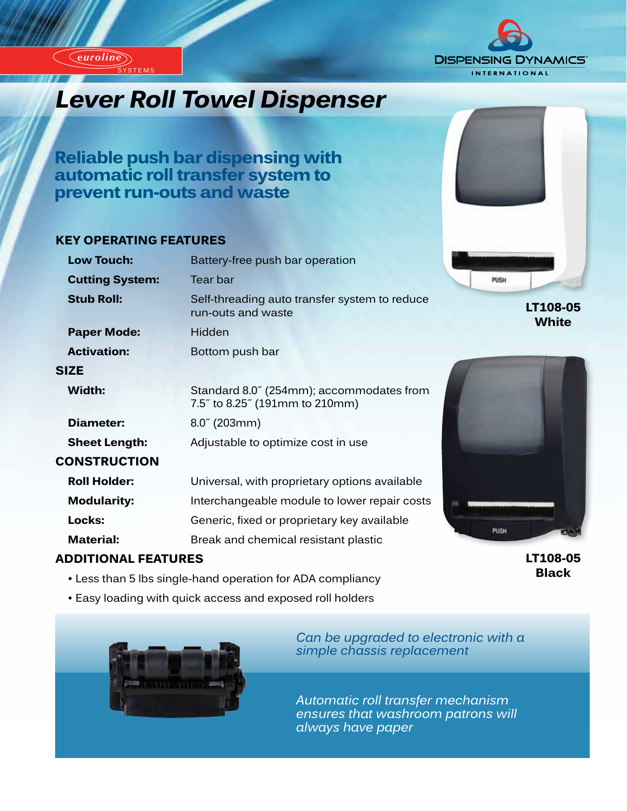*euroline*

SYSTEMS

*euroline*



# *Industrial Industrial Lever Roll Towel Dispenser*

**Reliable push bar dispensing with automatic roll transfer system to prevent run-outs and waste**

#### **KEY OPERATING FEATURES**

| Battery-free push bar operation                                            |
|----------------------------------------------------------------------------|
| Tear bar                                                                   |
| Self-threading auto transfer system to reduce<br>run-outs and waste        |
| Hidden                                                                     |
| Bottom push bar                                                            |
|                                                                            |
| Standard 8.0" (254mm); accommodates from<br>7.5" to 8.25" (191mm to 210mm) |
| $8.0^{\circ}$ (203mm)                                                      |
| Adjustable to optimize cost in use                                         |
|                                                                            |
| Universal, with proprietary options available                              |
| Interchangeable module to lower repair costs                               |
| Generic, fixed or proprietary key available                                |
| Break and chemical resistant plastic                                       |
|                                                                            |

### **ADDITIONAL FEATURES**

- Less than 5 lbs single-hand operation for ADA compliancy
- Easy loading with quick access and exposed roll holders



*Can be upgraded to electronic with a simple chassis replacement*

*Automatic roll transfer mechanism ensures that washroom patrons will always have paper*



**LT108-05 White**



**LT108-05 Black**